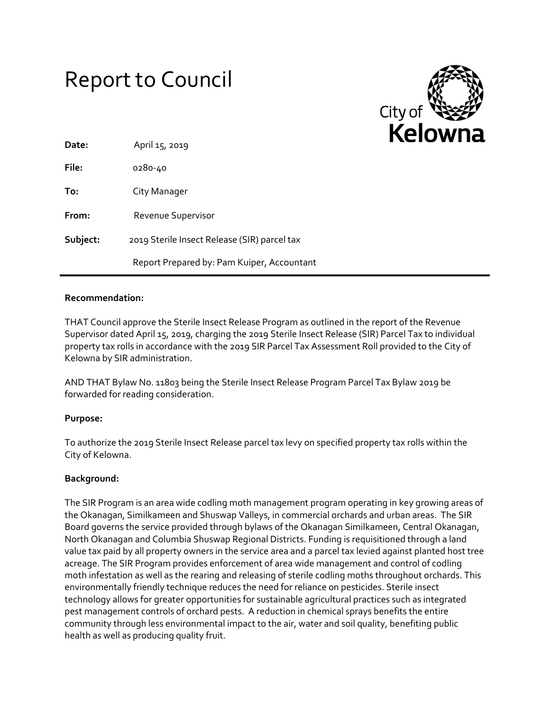# Report to Council



| Date:    | April 15, 2019                               |
|----------|----------------------------------------------|
| File:    | 0280-40                                      |
| To:      | City Manager                                 |
| From:    | Revenue Supervisor                           |
| Subject: | 2019 Sterile Insect Release (SIR) parcel tax |
|          | Report Prepared by: Pam Kuiper, Accountant   |

## **Recommendation:**

THAT Council approve the Sterile Insect Release Program as outlined in the report of the Revenue Supervisor dated April 15, 2019, charging the 2019 Sterile Insect Release (SIR) Parcel Tax to individual property tax rolls in accordance with the 2019 SIR Parcel Tax Assessment Roll provided to the City of Kelowna by SIR administration.

AND THAT Bylaw No. 11803 being the Sterile Insect Release Program Parcel Tax Bylaw 2019 be forwarded for reading consideration.

## **Purpose:**

To authorize the 2019 Sterile Insect Release parcel tax levy on specified property tax rolls within the City of Kelowna.

## **Background:**

The SIR Program is an area wide codling moth management program operating in key growing areas of the Okanagan, Similkameen and Shuswap Valleys, in commercial orchards and urban areas. The SIR Board governs the service provided through bylaws of the Okanagan Similkameen, Central Okanagan, North Okanagan and Columbia Shuswap Regional Districts. Funding is requisitioned through a land value tax paid by all property owners in the service area and a parcel tax levied against planted host tree acreage. The SIR Program provides enforcement of area wide management and control of codling moth infestation as well as the rearing and releasing of sterile codling moths throughout orchards. This environmentally friendly technique reduces the need for reliance on pesticides. Sterile insect technology allows for greater opportunities for sustainable agricultural practices such as integrated pest management controls of orchard pests. A reduction in chemical sprays benefits the entire community through less environmental impact to the air, water and soil quality, benefiting public health as well as producing quality fruit.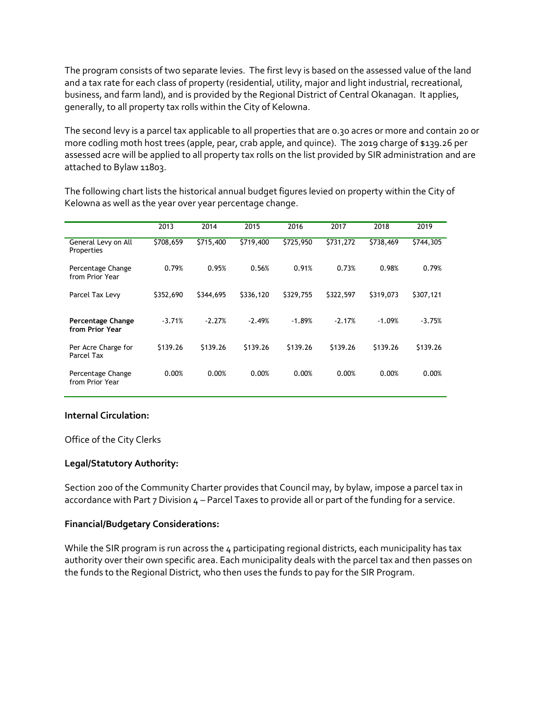The program consists of two separate levies. The first levy is based on the assessed value of the land and a tax rate for each class of property (residential, utility, major and light industrial, recreational, business, and farm land), and is provided by the Regional District of Central Okanagan. It applies, generally, to all property tax rolls within the City of Kelowna.

The second levy is a parcel tax applicable to all properties that are 0.30 acres or more and contain 20 or more codling moth host trees (apple, pear, crab apple, and quince). The 2019 charge of \$139.26 per assessed acre will be applied to all property tax rolls on the list provided by SIR administration and are attached to Bylaw 11803.

The following chart lists the historical annual budget figures levied on property within the City of Kelowna as well as the year over year percentage change.

|                                      | 2013      | 2014      | 2015      | 2016      | 2017      | 2018      | 2019      |
|--------------------------------------|-----------|-----------|-----------|-----------|-----------|-----------|-----------|
| General Levy on All<br>Properties    | \$708,659 | \$715,400 | \$719,400 | \$725,950 | \$731,272 | \$738,469 | \$744,305 |
| Percentage Change<br>from Prior Year | 0.79%     | 0.95%     | 0.56%     | 0.91%     | 0.73%     | 0.98%     | 0.79%     |
| Parcel Tax Levy                      | \$352,690 | \$344,695 | \$336,120 | \$329,755 | \$322,597 | \$319,073 | \$307,121 |
| Percentage Change<br>from Prior Year | $-3.71%$  | $-2.27%$  | $-2.49%$  | $-1.89%$  | $-2.17%$  | $-1.09%$  | $-3.75%$  |
| Per Acre Charge for<br>Parcel Tax    | \$139.26  | \$139.26  | \$139.26  | \$139.26  | \$139.26  | \$139.26  | \$139.26  |
| Percentage Change<br>from Prior Year | 0.00%     | 0.00%     | 0.00%     | 0.00%     | 0.00%     | 0.00%     | 0.00%     |

## **Internal Circulation:**

Office of the City Clerks

## **Legal/Statutory Authority:**

Section 200 of the Community Charter provides that Council may, by bylaw, impose a parcel tax in accordance with Part 7 Division  $4$  – Parcel Taxes to provide all or part of the funding for a service.

## **Financial/Budgetary Considerations:**

While the SIR program is run across the 4 participating regional districts, each municipality has tax authority over their own specific area. Each municipality deals with the parcel tax and then passes on the funds to the Regional District, who then uses the funds to pay for the SIR Program.